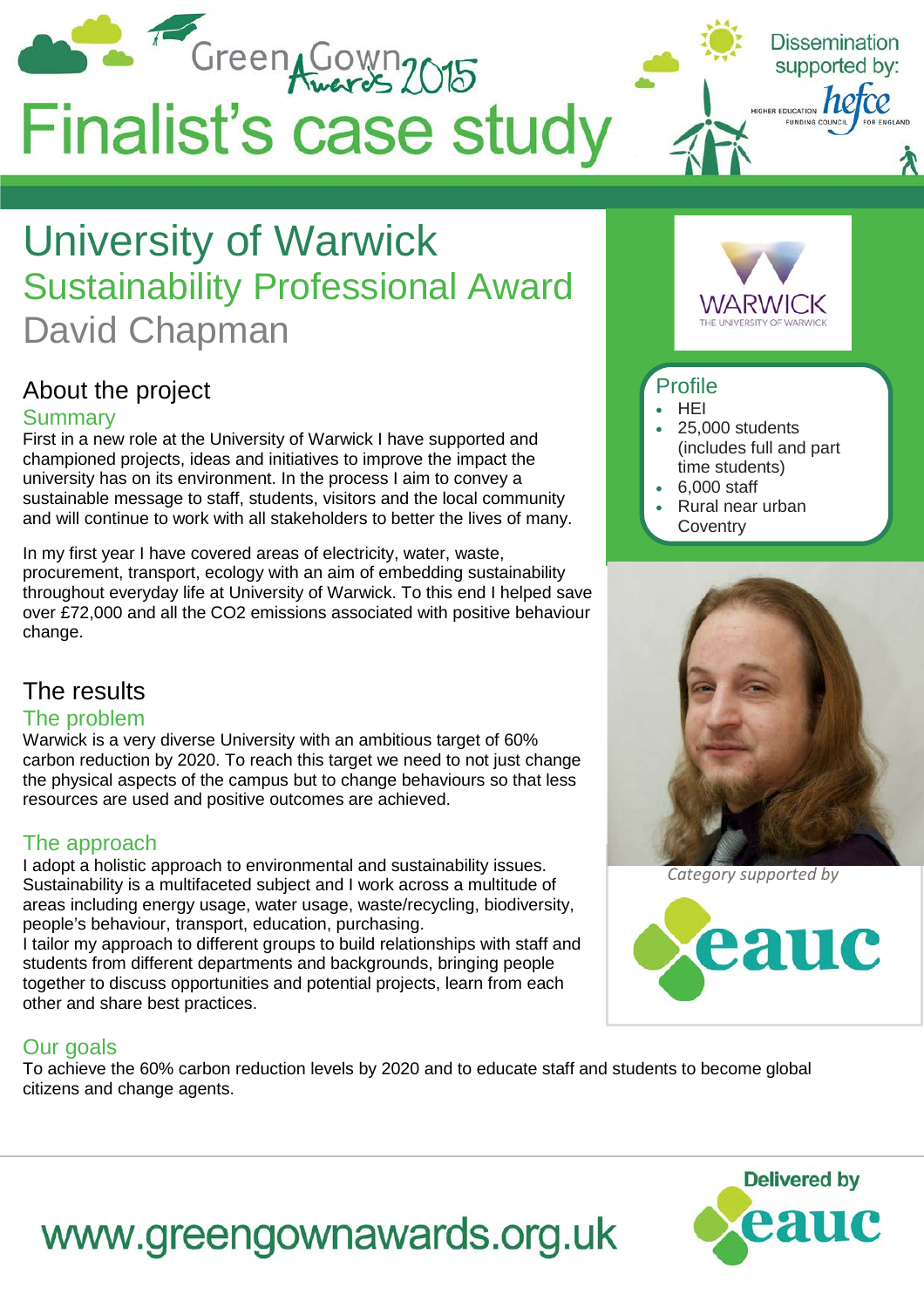

# University of Warwick Sustainability Professional Award David Chapman

# About the project

### Summary

First in a new role at the University of Warwick I have supported and championed projects, ideas and initiatives to improve the impact the university has on its environment. In the process I aim to convey a sustainable message to staff, students, visitors and the local community and will continue to work with all stakeholders to better the lives of many.

In my first year I have covered areas of electricity, water, waste, procurement, transport, ecology with an aim of embedding sustainability throughout everyday life at University of Warwick. To this end I helped save over £72,000 and all the CO2 emissions associated with positive behaviour change.

# The results

### The problem

Warwick is a very diverse University with an ambitious target of 60% carbon reduction by 2020. To reach this target we need to not just change the physical aspects of the campus but to change behaviours so that less resources are used and positive outcomes are achieved.

# The approach

I adopt a holistic approach to environmental and sustainability issues. Sustainability is a multifaceted subject and I work across a multitude of areas including energy usage, water usage, waste/recycling, biodiversity, people's behaviour, transport, education, purchasing.

I tailor my approach to different groups to build relationships with staff and students from different departments and backgrounds, bringing people together to discuss opportunities and potential projects, learn from each other and share best practices.

# Our goals

To achieve the 60% carbon reduction levels by 2020 and to educate staff and students to become global citizens and change agents.



### Profile

- HEI
- 25,000 students (includes full and part time students)
- 6,000 staff
- Rural near urban **Coventry**



*Category supported by*





# www.greengownawards.org.uk